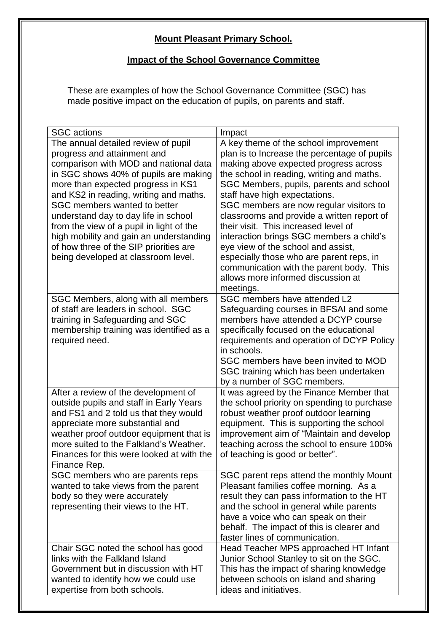## **Mount Pleasant Primary School.**

## **Impact of the School Governance Committee**

These are examples of how the School Governance Committee (SGC) has made positive impact on the education of pupils, on parents and staff.

| <b>SGC</b> actions                                                              | Impact                                                                                  |
|---------------------------------------------------------------------------------|-----------------------------------------------------------------------------------------|
| The annual detailed review of pupil                                             | A key theme of the school improvement                                                   |
| progress and attainment and                                                     | plan is to Increase the percentage of pupils                                            |
| comparison with MOD and national data                                           | making above expected progress across                                                   |
| in SGC shows 40% of pupils are making                                           | the school in reading, writing and maths.                                               |
| more than expected progress in KS1                                              | SGC Members, pupils, parents and school                                                 |
| and KS2 in reading, writing and maths.                                          | staff have high expectations.                                                           |
| SGC members wanted to better                                                    | SGC members are now regular visitors to                                                 |
| understand day to day life in school                                            | classrooms and provide a written report of                                              |
| from the view of a pupil in light of the                                        | their visit. This increased level of                                                    |
| high mobility and gain an understanding                                         | interaction brings SGC members a child's                                                |
| of how three of the SIP priorities are                                          | eye view of the school and assist,                                                      |
| being developed at classroom level.                                             | especially those who are parent reps, in                                                |
|                                                                                 | communication with the parent body. This                                                |
|                                                                                 | allows more informed discussion at                                                      |
|                                                                                 | meetings.                                                                               |
| SGC Members, along with all members                                             | SGC members have attended L2                                                            |
| of staff are leaders in school. SGC                                             | Safeguarding courses in BFSAI and some                                                  |
| training in Safeguarding and SGC                                                | members have attended a DCYP course                                                     |
| membership training was identified as a                                         | specifically focused on the educational                                                 |
| required need.                                                                  | requirements and operation of DCYP Policy                                               |
|                                                                                 | in schools.                                                                             |
|                                                                                 | SGC members have been invited to MOD                                                    |
|                                                                                 | SGC training which has been undertaken                                                  |
|                                                                                 | by a number of SGC members.                                                             |
| After a review of the development of<br>outside pupils and staff in Early Years | It was agreed by the Finance Member that<br>the school priority on spending to purchase |
| and FS1 and 2 told us that they would                                           | robust weather proof outdoor learning                                                   |
| appreciate more substantial and                                                 | equipment. This is supporting the school                                                |
| weather proof outdoor equipment that is                                         | improvement aim of "Maintain and develop                                                |
| more suited to the Falkland's Weather.                                          | teaching across the school to ensure 100%                                               |
| Finances for this were looked at with the                                       | of teaching is good or better".                                                         |
| Finance Rep.                                                                    |                                                                                         |
| SGC members who are parents reps                                                | SGC parent reps attend the monthly Mount                                                |
| wanted to take views from the parent                                            | Pleasant families coffee morning. As a                                                  |
| body so they were accurately                                                    | result they can pass information to the HT                                              |
| representing their views to the HT.                                             | and the school in general while parents                                                 |
|                                                                                 | have a voice who can speak on their                                                     |
|                                                                                 | behalf. The impact of this is clearer and                                               |
|                                                                                 | faster lines of communication.                                                          |
| Chair SGC noted the school has good                                             | Head Teacher MPS approached HT Infant                                                   |
| links with the Falkland Island                                                  | Junior School Stanley to sit on the SGC.                                                |
| Government but in discussion with HT                                            | This has the impact of sharing knowledge                                                |
| wanted to identify how we could use                                             | between schools on island and sharing                                                   |
| expertise from both schools.                                                    | ideas and initiatives.                                                                  |